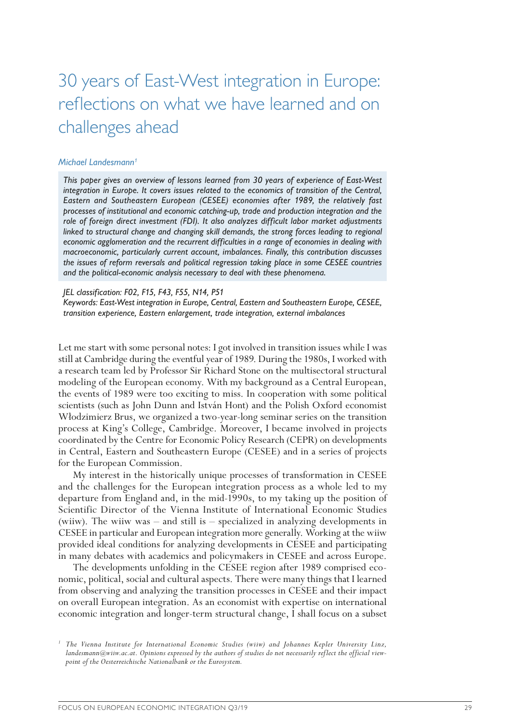# 30 years of East-West integration in Europe: reflections on what we have learned and on challenges ahead

#### *Michael Landesmann1*

*This paper gives an overview of lessons learned from 30 years of experience of East-West integration in Europe. It covers issues related to the economics of transition of the Central, Eastern and Southeastern European (CESEE) economies after 1989, the relatively fast processes of institutional and economic catching-up, trade and production integration and the role of foreign direct investment (FDI). It also analyzes difficult labor market adjustments*  linked to structural change and changing skill demands, the strong forces leading to regional *economic agglomeration and the recurrent difficulties in a range of economies in dealing with macroeconomic, particularly current account, imbalances. Finally, this contribution discusses the issues of reform reversals and political regression taking place in some CESEE countries and the political-economic analysis necessary to deal with these phenomena.*

#### *JEL classification: F02, F15, F43, F55, N14, P51*

*Keywords: East-West integration in Europe, Central, Eastern and Southeastern Europe, CESEE, transition experience, Eastern enlargement, trade integration, external imbalances*

Let me start with some personal notes: I got involved in transition issues while I was still at Cambridge during the eventful year of 1989. During the 1980s, I worked with a research team led by Professor Sir Richard Stone on the multisectoral structural modeling of the European economy. With my background as a Central European, the events of 1989 were too exciting to miss. In cooperation with some political scientists (such as John Dunn and István Hont) and the Polish Oxford economist Włodzimierz Brus, we organized a two-year-long seminar series on the transition process at King's College, Cambridge. Moreover, I became involved in projects coordinated by the Centre for Economic Policy Research (CEPR) on developments in Central, Eastern and Southeastern Europe (CESEE) and in a series of projects for the European Commission.

My interest in the historically unique processes of transformation in CESEE and the challenges for the European integration process as a whole led to my departure from England and, in the mid-1990s, to my taking up the position of Scientific Director of the Vienna Institute of International Economic Studies (wiiw). The wiiw was – and still is – specialized in analyzing developments in CESEE in particular and European integration more generally. Working at the wiiw provided ideal conditions for analyzing developments in CESEE and participating in many debates with academics and policymakers in CESEE and across Europe.

The developments unfolding in the CESEE region after 1989 comprised economic, political, social and cultural aspects. There were many things that I learned from observing and analyzing the transition processes in CESEE and their impact on overall European integration. As an economist with expertise on international economic integration and longer-term structural change, I shall focus on a subset

*<sup>1</sup> The Vienna Institute for International Economic Studies (wiiw) and Johannes Kepler University Linz, landesmann@wiiw.ac.at. Opinions expressed by the authors of studies do not necessarily reflect the official view- point of the Oesterreichische Nationalbank or the Eurosystem.*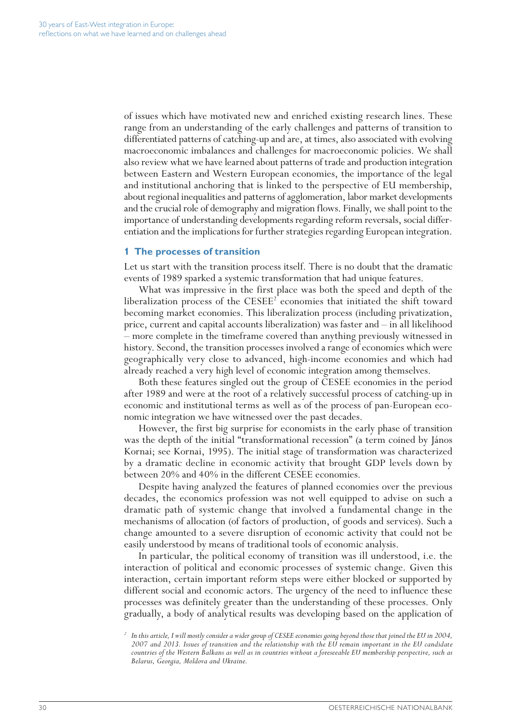of issues which have motivated new and enriched existing research lines. These range from an understanding of the early challenges and patterns of transition to differentiated patterns of catching-up and are, at times, also associated with evolving macroeconomic imbalances and challenges for macroeconomic policies. We shall also review what we have learned about patterns of trade and production integration between Eastern and Western European economies, the importance of the legal and institutional anchoring that is linked to the perspective of EU membership, about regional inequalities and patterns of agglomeration, labor market developments and the crucial role of demography and migration flows. Finally, we shall point to the importance of understanding developments regarding reform reversals, social differentiation and the implications for further strategies regarding European integration.

#### **1 The processes of transition**

Let us start with the transition process itself. There is no doubt that the dramatic events of 1989 sparked a systemic transformation that had unique features.

What was impressive in the first place was both the speed and depth of the liberalization process of the  $\text{CESEE}^2$  economies that initiated the shift toward becoming market economies. This liberalization process (including privatization, price, current and capital accounts liberalization) was faster and – in all likelihood – more complete in the timeframe covered than anything previously witnessed in history. Second, the transition processes involved a range of economies which were geographically very close to advanced, high-income economies and which had already reached a very high level of economic integration among themselves.

Both these features singled out the group of CESEE economies in the period after 1989 and were at the root of a relatively successful process of catching-up in economic and institutional terms as well as of the process of pan-European economic integration we have witnessed over the past decades.

However, the first big surprise for economists in the early phase of transition was the depth of the initial "transformational recession" (a term coined by János Kornai; see Kornai, 1995). The initial stage of transformation was characterized by a dramatic decline in economic activity that brought GDP levels down by between 20% and 40% in the different CESEE economies.

Despite having analyzed the features of planned economies over the previous decades, the economics profession was not well equipped to advise on such a dramatic path of systemic change that involved a fundamental change in the mechanisms of allocation (of factors of production, of goods and services). Such a change amounted to a severe disruption of economic activity that could not be easily understood by means of traditional tools of economic analysis.

In particular, the political economy of transition was ill understood, i.e. the interaction of political and economic processes of systemic change. Given this interaction, certain important reform steps were either blocked or supported by different social and economic actors. The urgency of the need to influence these processes was definitely greater than the understanding of these processes. Only gradually, a body of analytical results was developing based on the application of

*<sup>2</sup> In this article, I will mostly consider a wider group of CESEE economies going beyond those that joined the EU in 2004, 2007 and 2013. Issues of transition and the relationship with the EU remain important in the EU candidate countries of the Western Balkans as well as in countries without a foreseeable EU membership perspective, such as Belarus, Georgia, Moldova and Ukraine.*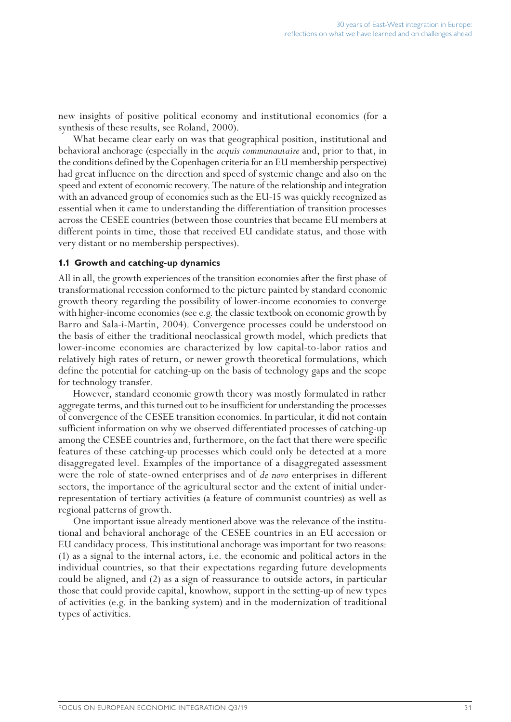new insights of positive political economy and institutional economics (for a synthesis of these results, see Roland, 2000).

What became clear early on was that geographical position, institutional and behavioral anchorage (especially in the *acquis communautaire* and, prior to that, in the conditions defined by the Copenhagen criteria for an EU membership perspective) had great influence on the direction and speed of systemic change and also on the speed and extent of economic recovery. The nature of the relationship and integration with an advanced group of economies such as the EU-15 was quickly recognized as essential when it came to understanding the differentiation of transition processes across the CESEE countries (between those countries that became EU members at different points in time, those that received EU candidate status, and those with very distant or no membership perspectives).

#### **1.1 Growth and catching-up dynamics**

All in all, the growth experiences of the transition economies after the first phase of transformational recession conformed to the picture painted by standard economic growth theory regarding the possibility of lower-income economies to converge with higher-income economies (see e.g. the classic textbook on economic growth by Barro and Sala-i-Martín, 2004). Convergence processes could be understood on the basis of either the traditional neoclassical growth model, which predicts that lower-income economies are characterized by low capital-to-labor ratios and relatively high rates of return, or newer growth theoretical formulations, which define the potential for catching-up on the basis of technology gaps and the scope for technology transfer.

However, standard economic growth theory was mostly formulated in rather aggregate terms, and this turned out to be insufficient for understanding the processes of convergence of the CESEE transition economies. In particular, it did not contain sufficient information on why we observed differentiated processes of catching-up among the CESEE countries and, furthermore, on the fact that there were specific features of these catching-up processes which could only be detected at a more disaggregated level. Examples of the importance of a disaggregated assessment were the role of state-owned enterprises and of *de novo* enterprises in different sectors, the importance of the agricultural sector and the extent of initial underrepresentation of tertiary activities (a feature of communist countries) as well as regional patterns of growth.

One important issue already mentioned above was the relevance of the institutional and behavioral anchorage of the CESEE countries in an EU accession or EU candidacy process. This institutional anchorage was important for two reasons: (1) as a signal to the internal actors, i.e. the economic and political actors in the individual countries, so that their expectations regarding future developments could be aligned, and (2) as a sign of reassurance to outside actors, in particular those that could provide capital, knowhow, support in the setting-up of new types of activities (e.g. in the banking system) and in the modernization of traditional types of activities.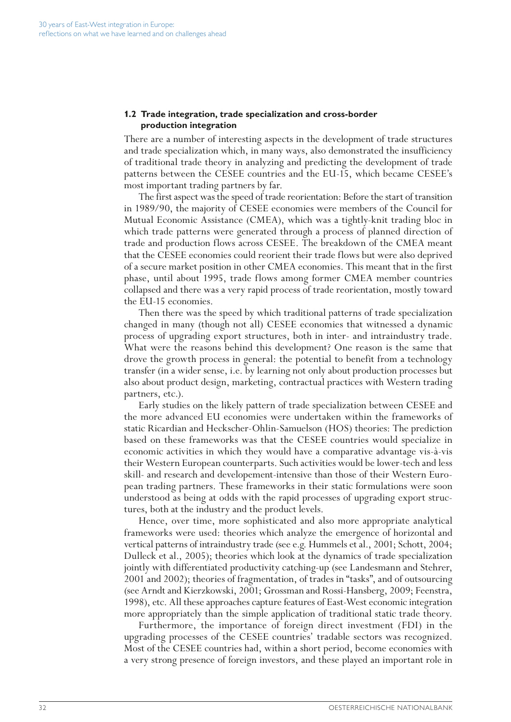# **1.2 Trade integration, trade specialization and cross-border production integration**

There are a number of interesting aspects in the development of trade structures and trade specialization which, in many ways, also demonstrated the insufficiency of traditional trade theory in analyzing and predicting the development of trade patterns between the CESEE countries and the EU-15, which became CESEE's most important trading partners by far.

The first aspect was the speed of trade reorientation: Before the start of transition in 1989/90, the majority of CESEE economies were members of the Council for Mutual Economic Assistance (CMEA), which was a tightly-knit trading bloc in which trade patterns were generated through a process of planned direction of trade and production flows across CESEE. The breakdown of the CMEA meant that the CESEE economies could reorient their trade flows but were also deprived of a secure market position in other CMEA economies. This meant that in the first phase, until about 1995, trade flows among former CMEA member countries collapsed and there was a very rapid process of trade reorientation, mostly toward the EU-15 economies.

Then there was the speed by which traditional patterns of trade specialization changed in many (though not all) CESEE economies that witnessed a dynamic process of upgrading export structures, both in inter- and intraindustry trade. What were the reasons behind this development? One reason is the same that drove the growth process in general: the potential to benefit from a technology transfer (in a wider sense, i.e. by learning not only about production processes but also about product design, marketing, contractual practices with Western trading partners, etc.).

Early studies on the likely pattern of trade specialization between CESEE and the more advanced EU economies were undertaken within the frameworks of static Ricardian and Heckscher-Ohlin-Samuelson (HOS) theories: The prediction based on these frameworks was that the CESEE countries would specialize in economic activities in which they would have a comparative advantage vis-à-vis their Western European counterparts. Such activities would be lower-tech and less skill- and research and developement-intensive than those of their Western European trading partners. These frameworks in their static formulations were soon understood as being at odds with the rapid processes of upgrading export structures, both at the industry and the product levels.

Hence, over time, more sophisticated and also more appropriate analytical frameworks were used: theories which analyze the emergence of horizontal and vertical patterns of intraindustry trade (see e.g. Hummels et al., 2001; Schott, 2004; Dulleck et al., 2005); theories which look at the dynamics of trade specialization jointly with differentiated productivity catching-up (see Landesmann and Stehrer, 2001 and 2002); theories of fragmentation, of trades in "tasks", and of outsourcing (see Arndt and Kierzkowski, 2001; Grossman and Rossi-Hansberg, 2009; Feenstra, 1998), etc. All these approaches capture features of East-West economic integration more appropriately than the simple application of traditional static trade theory.

Furthermore, the importance of foreign direct investment (FDI) in the upgrading processes of the CESEE countries' tradable sectors was recognized. Most of the CESEE countries had, within a short period, become economies with a very strong presence of foreign investors, and these played an important role in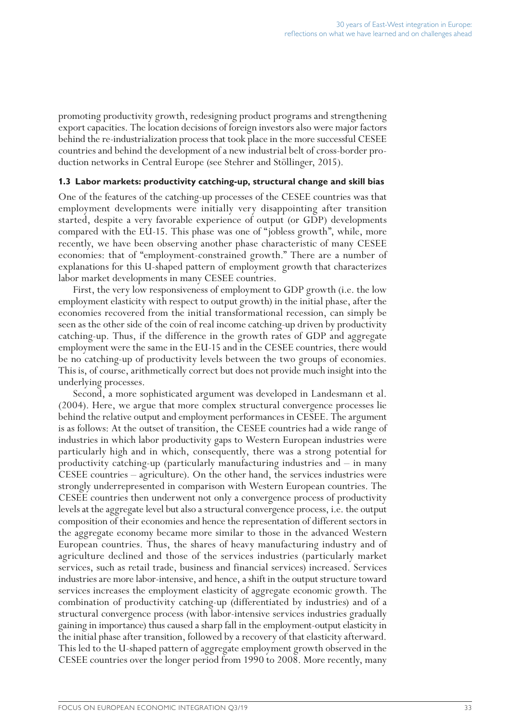promoting productivity growth, redesigning product programs and strengthening export capacities. The location decisions of foreign investors also were major factors behind the re-industrialization process that took place in the more successful CESEE countries and behind the development of a new industrial belt of cross-border production networks in Central Europe (see Stehrer and Stöllinger, 2015).

#### **1.3 Labor markets: productivity catching-up, structural change and skill bias**

One of the features of the catching-up processes of the CESEE countries was that employment developments were initially very disappointing after transition started, despite a very favorable experience of output (or GDP) developments compared with the EU-15. This phase was one of "jobless growth", while, more recently, we have been observing another phase characteristic of many CESEE economies: that of "employment-constrained growth." There are a number of explanations for this U-shaped pattern of employment growth that characterizes labor market developments in many CESEE countries.

First, the very low responsiveness of employment to GDP growth (i.e. the low employment elasticity with respect to output growth) in the initial phase, after the economies recovered from the initial transformational recession, can simply be seen as the other side of the coin of real income catching-up driven by productivity catching-up. Thus, if the difference in the growth rates of GDP and aggregate employment were the same in the EU-15 and in the CESEE countries, there would be no catching-up of productivity levels between the two groups of economies. This is, of course, arithmetically correct but does not provide much insight into the underlying processes.

Second, a more sophisticated argument was developed in Landesmann et al. (2004). Here, we argue that more complex structural convergence processes lie behind the relative output and employment performances in CESEE. The argument is as follows: At the outset of transition, the CESEE countries had a wide range of industries in which labor productivity gaps to Western European industries were particularly high and in which, consequently, there was a strong potential for productivity catching-up (particularly manufacturing industries and – in many CESEE countries – agriculture). On the other hand, the services industries were strongly underrepresented in comparison with Western European countries. The CESEE countries then underwent not only a convergence process of productivity levels at the aggregate level but also a structural convergence process, i.e. the output composition of their economies and hence the representation of different sectors in the aggregate economy became more similar to those in the advanced Western European countries. Thus, the shares of heavy manufacturing industry and of agriculture declined and those of the services industries (particularly market services, such as retail trade, business and financial services) increased. Services industries are more labor-intensive, and hence, a shift in the output structure toward services increases the employment elasticity of aggregate economic growth. The combination of productivity catching-up (differentiated by industries) and of a structural convergence process (with labor-intensive services industries gradually gaining in importance) thus caused a sharp fall in the employment-output elasticity in the initial phase after transition, followed by a recovery of that elasticity afterward. This led to the U-shaped pattern of aggregate employment growth observed in the CESEE countries over the longer period from 1990 to 2008. More recently, many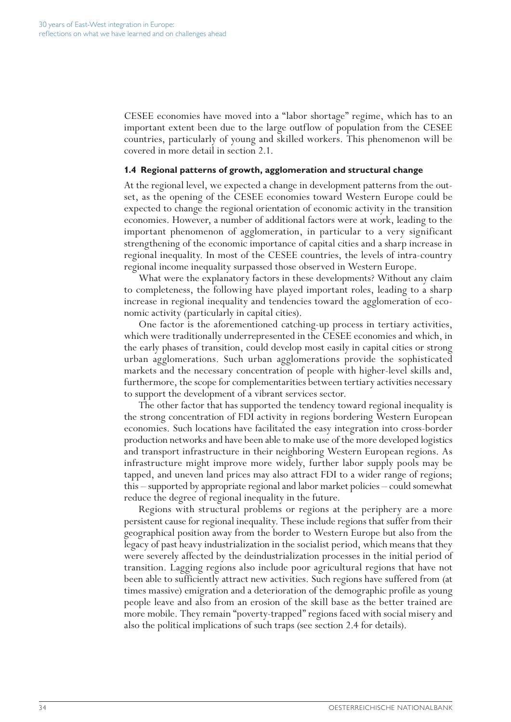CESEE economies have moved into a "labor shortage" regime, which has to an important extent been due to the large outflow of population from the CESEE countries, particularly of young and skilled workers. This phenomenon will be covered in more detail in section 2.1.

#### **1.4 Regional patterns of growth, agglomeration and structural change**

At the regional level, we expected a change in development patterns from the outset, as the opening of the CESEE economies toward Western Europe could be expected to change the regional orientation of economic activity in the transition economies. However, a number of additional factors were at work, leading to the important phenomenon of agglomeration, in particular to a very significant strengthening of the economic importance of capital cities and a sharp increase in regional inequality. In most of the CESEE countries, the levels of intra-country regional income inequality surpassed those observed in Western Europe.

What were the explanatory factors in these developments? Without any claim to completeness, the following have played important roles, leading to a sharp increase in regional inequality and tendencies toward the agglomeration of economic activity (particularly in capital cities).

One factor is the aforementioned catching-up process in tertiary activities, which were traditionally underrepresented in the CESEE economies and which, in the early phases of transition, could develop most easily in capital cities or strong urban agglomerations. Such urban agglomerations provide the sophisticated markets and the necessary concentration of people with higher-level skills and, furthermore, the scope for complementarities between tertiary activities necessary to support the development of a vibrant services sector.

The other factor that has supported the tendency toward regional inequality is the strong concentration of FDI activity in regions bordering Western European economies. Such locations have facilitated the easy integration into cross-border production networks and have been able to make use of the more developed logistics and transport infrastructure in their neighboring Western European regions. As infrastructure might improve more widely, further labor supply pools may be tapped, and uneven land prices may also attract FDI to a wider range of regions; this – supported by appropriate regional and labor market policies – could somewhat reduce the degree of regional inequality in the future.

Regions with structural problems or regions at the periphery are a more persistent cause for regional inequality. These include regions that suffer from their geographical position away from the border to Western Europe but also from the legacy of past heavy industrialization in the socialist period, which means that they were severely affected by the deindustrialization processes in the initial period of transition. Lagging regions also include poor agricultural regions that have not been able to sufficiently attract new activities. Such regions have suffered from (at times massive) emigration and a deterioration of the demographic profile as young people leave and also from an erosion of the skill base as the better trained are more mobile. They remain "poverty-trapped" regions faced with social misery and also the political implications of such traps (see section 2.4 for details).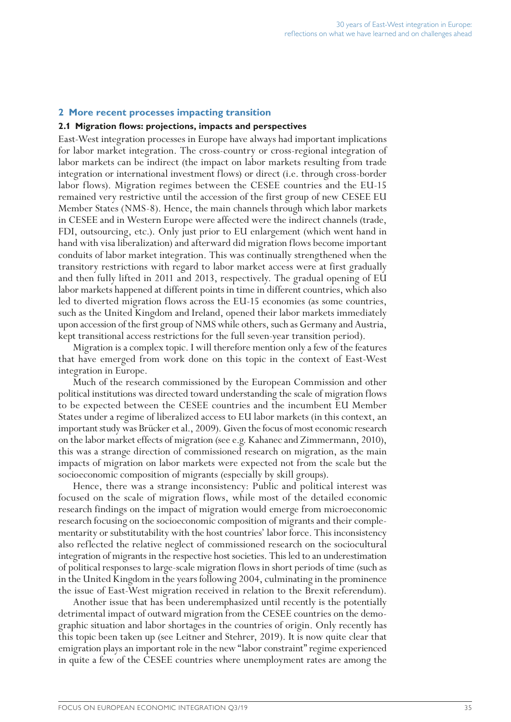## **2 More recent processes impacting transition**

#### **2.1 Migration flows: projections, impacts and perspectives**

East-West integration processes in Europe have always had important implications for labor market integration. The cross-country or cross-regional integration of labor markets can be indirect (the impact on labor markets resulting from trade integration or international investment flows) or direct (i.e. through cross-border labor flows). Migration regimes between the CESEE countries and the EU-15 remained very restrictive until the accession of the first group of new CESEE EU Member States (NMS-8). Hence, the main channels through which labor markets in CESEE and in Western Europe were affected were the indirect channels (trade, FDI, outsourcing, etc.). Only just prior to EU enlargement (which went hand in hand with visa liberalization) and afterward did migration flows become important conduits of labor market integration. This was continually strengthened when the transitory restrictions with regard to labor market access were at first gradually and then fully lifted in 2011 and 2013, respectively. The gradual opening of EU labor markets happened at different points in time in different countries, which also led to diverted migration flows across the EU-15 economies (as some countries, such as the United Kingdom and Ireland, opened their labor markets immediately upon accession of the first group of NMS while others, such as Germany and Austria, kept transitional access restrictions for the full seven-year transition period).

Migration is a complex topic. I will therefore mention only a few of the features that have emerged from work done on this topic in the context of East-West integration in Europe.

Much of the research commissioned by the European Commission and other political institutions was directed toward understanding the scale of migration flows to be expected between the CESEE countries and the incumbent EU Member States under a regime of liberalized access to EU labor markets (in this context, an important study was Brücker et al., 2009). Given the focus of most economic research on the labor market effects of migration (see e.g. Kahanec and Zimmermann, 2010), this was a strange direction of commissioned research on migration, as the main impacts of migration on labor markets were expected not from the scale but the socioeconomic composition of migrants (especially by skill groups).

Hence, there was a strange inconsistency: Public and political interest was focused on the scale of migration flows, while most of the detailed economic research findings on the impact of migration would emerge from microeconomic research focusing on the socioeconomic composition of migrants and their complementarity or substitutability with the host countries' labor force. This inconsistency also reflected the relative neglect of commissioned research on the sociocultural integration of migrants in the respective host societies. This led to an underestimation of political responses to large-scale migration flows in short periods of time (such as in the United Kingdom in the years following 2004, culminating in the prominence the issue of East-West migration received in relation to the Brexit referendum).

Another issue that has been underemphasized until recently is the potentially detrimental impact of outward migration from the CESEE countries on the demographic situation and labor shortages in the countries of origin. Only recently has this topic been taken up (see Leitner and Stehrer, 2019). It is now quite clear that emigration plays an important role in the new "labor constraint" regime experienced in quite a few of the CESEE countries where unemployment rates are among the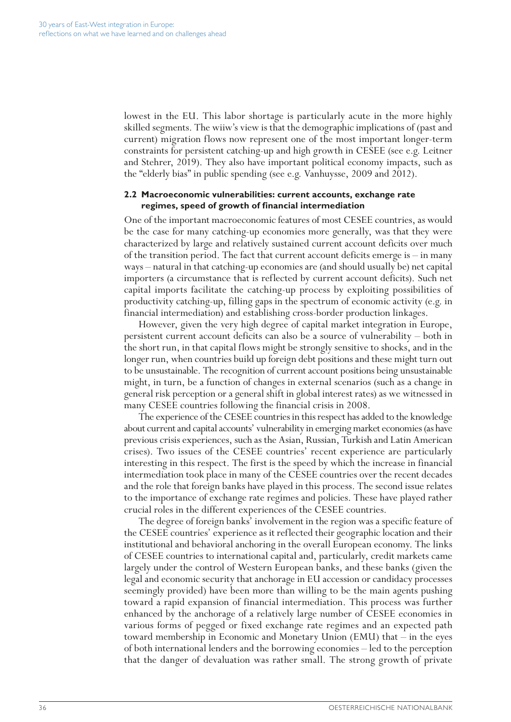lowest in the EU. This labor shortage is particularly acute in the more highly skilled segments. The wiiw's view is that the demographic implications of (past and current) migration flows now represent one of the most important longer-term constraints for persistent catching-up and high growth in CESEE (see e.g. Leitner and Stehrer, 2019). They also have important political economy impacts, such as the "elderly bias" in public spending (see e.g. Vanhuysse, 2009 and 2012).

#### **2.2 Macroeconomic vulnerabilities: current accounts, exchange rate regimes, speed of growth of financial intermediation**

One of the important macroeconomic features of most CESEE countries, as would be the case for many catching-up economies more generally, was that they were characterized by large and relatively sustained current account deficits over much of the transition period. The fact that current account deficits emerge is – in many ways – natural in that catching-up economies are (and should usually be) net capital importers (a circumstance that is reflected by current account deficits). Such net capital imports facilitate the catching-up process by exploiting possibilities of productivity catching-up, filling gaps in the spectrum of economic activity (e.g. in financial intermediation) and establishing cross-border production linkages.

However, given the very high degree of capital market integration in Europe, persistent current account deficits can also be a source of vulnerability – both in the short run, in that capital flows might be strongly sensitive to shocks, and in the longer run, when countries build up foreign debt positions and these might turn out to be unsustainable. The recognition of current account positions being unsustainable might, in turn, be a function of changes in external scenarios (such as a change in general risk perception or a general shift in global interest rates) as we witnessed in many CESEE countries following the financial crisis in 2008.

The experience of the CESEE countries in this respect has added to the knowledge about current and capital accounts' vulnerability in emerging market economies (as have previous crisis experiences, such as the Asian, Russian, Turkish and Latin American crises). Two issues of the CESEE countries' recent experience are particularly interesting in this respect. The first is the speed by which the increase in financial intermediation took place in many of the CESEE countries over the recent decades and the role that foreign banks have played in this process. The second issue relates to the importance of exchange rate regimes and policies. These have played rather crucial roles in the different experiences of the CESEE countries.

The degree of foreign banks' involvement in the region was a specific feature of the CESEE countries' experience as it reflected their geographic location and their institutional and behavioral anchoring in the overall European economy. The links of CESEE countries to international capital and, particularly, credit markets came largely under the control of Western European banks, and these banks (given the legal and economic security that anchorage in EU accession or candidacy processes seemingly provided) have been more than willing to be the main agents pushing toward a rapid expansion of financial intermediation. This process was further enhanced by the anchorage of a relatively large number of CESEE economies in various forms of pegged or fixed exchange rate regimes and an expected path toward membership in Economic and Monetary Union (EMU) that – in the eyes of both international lenders and the borrowing economies – led to the perception that the danger of devaluation was rather small. The strong growth of private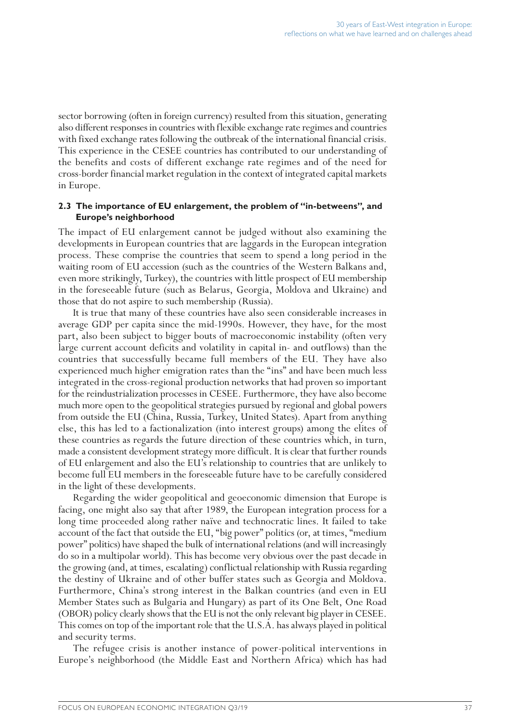sector borrowing (often in foreign currency) resulted from this situation, generating also different responses in countries with flexible exchange rate regimes and countries with fixed exchange rates following the outbreak of the international financial crisis. This experience in the CESEE countries has contributed to our understanding of the benefits and costs of different exchange rate regimes and of the need for cross-border financial market regulation in the context of integrated capital markets in Europe.

# **2.3 The importance of EU enlargement, the problem of "in-betweens", and Europe's neighborhood**

The impact of EU enlargement cannot be judged without also examining the developments in European countries that are laggards in the European integration process. These comprise the countries that seem to spend a long period in the waiting room of EU accession (such as the countries of the Western Balkans and, even more strikingly, Turkey), the countries with little prospect of EU membership in the foreseeable future (such as Belarus, Georgia, Moldova and Ukraine) and those that do not aspire to such membership (Russia).

It is true that many of these countries have also seen considerable increases in average GDP per capita since the mid-1990s. However, they have, for the most part, also been subject to bigger bouts of macroeconomic instability (often very large current account deficits and volatility in capital in- and outflows) than the countries that successfully became full members of the EU. They have also experienced much higher emigration rates than the "ins" and have been much less integrated in the cross-regional production networks that had proven so important for the reindustrialization processes in CESEE. Furthermore, they have also become much more open to the geopolitical strategies pursued by regional and global powers from outside the EU (China, Russia, Turkey, United States). Apart from anything else, this has led to a factionalization (into interest groups) among the elites of these countries as regards the future direction of these countries which, in turn, made a consistent development strategy more difficult. It is clear that further rounds of EU enlargement and also the EU's relationship to countries that are unlikely to become full EU members in the foreseeable future have to be carefully considered in the light of these developments.

Regarding the wider geopolitical and geoeconomic dimension that Europe is facing, one might also say that after 1989, the European integration process for a long time proceeded along rather naïve and technocratic lines. It failed to take account of the fact that outside the EU, "big power" politics (or, at times, "medium power" politics) have shaped the bulk of international relations (and will increasingly do so in a multipolar world). This has become very obvious over the past decade in the growing (and, at times, escalating) conflictual relationship with Russia regarding the destiny of Ukraine and of other buffer states such as Georgia and Moldova. Furthermore, China's strong interest in the Balkan countries (and even in EU Member States such as Bulgaria and Hungary) as part of its One Belt, One Road (OBOR) policy clearly shows that the EU is not the only relevant big player in CESEE. This comes on top of the important role that the U.S.A. has always played in political and security terms.

The refugee crisis is another instance of power-political interventions in Europe's neighborhood (the Middle East and Northern Africa) which has had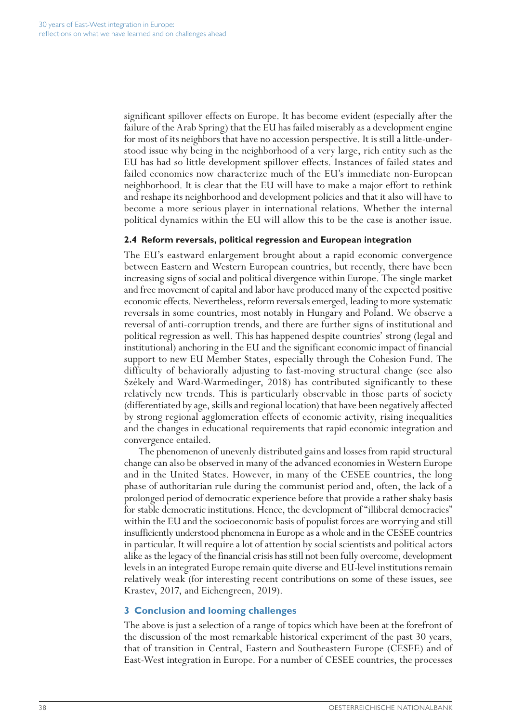significant spillover effects on Europe. It has become evident (especially after the failure of the Arab Spring) that the EU has failed miserably as a development engine for most of its neighbors that have no accession perspective. It is still a little-understood issue why being in the neighborhood of a very large, rich entity such as the EU has had so little development spillover effects. Instances of failed states and failed economies now characterize much of the EU's immediate non-European neighborhood. It is clear that the EU will have to make a major effort to rethink and reshape its neighborhood and development policies and that it also will have to become a more serious player in international relations. Whether the internal political dynamics within the EU will allow this to be the case is another issue.

# **2.4 Reform reversals, political regression and European integration**

The EU's eastward enlargement brought about a rapid economic convergence between Eastern and Western European countries, but recently, there have been increasing signs of social and political divergence within Europe. The single market and free movement of capital and labor have produced many of the expected positive economic effects. Nevertheless, reform reversals emerged, leading to more systematic reversals in some countries, most notably in Hungary and Poland. We observe a reversal of anti-corruption trends, and there are further signs of institutional and political regression as well. This has happened despite countries' strong (legal and institutional) anchoring in the EU and the significant economic impact of financial support to new EU Member States, especially through the Cohesion Fund. The difficulty of behaviorally adjusting to fast-moving structural change (see also Székely and Ward-Warmedinger, 2018) has contributed significantly to these relatively new trends. This is particularly observable in those parts of society (differentiated by age, skills and regional location) that have been negatively affected by strong regional agglomeration effects of economic activity, rising inequalities and the changes in educational requirements that rapid economic integration and convergence entailed.

The phenomenon of unevenly distributed gains and losses from rapid structural change can also be observed in many of the advanced economies in Western Europe and in the United States. However, in many of the CESEE countries, the long phase of authoritarian rule during the communist period and, often, the lack of a prolonged period of democratic experience before that provide a rather shaky basis for stable democratic institutions. Hence, the development of "illiberal democracies" within the EU and the socioeconomic basis of populist forces are worrying and still insufficiently understood phenomena in Europe as a whole and in the CESEE countries in particular. It will require a lot of attention by social scientists and political actors alike as the legacy of the financial crisis has still not been fully overcome, development levels in an integrated Europe remain quite diverse and EU-level institutions remain relatively weak (for interesting recent contributions on some of these issues, see Krastev, 2017, and Eichengreen, 2019).

# **3 Conclusion and looming challenges**

The above is just a selection of a range of topics which have been at the forefront of the discussion of the most remarkable historical experiment of the past 30 years, that of transition in Central, Eastern and Southeastern Europe (CESEE) and of East-West integration in Europe. For a number of CESEE countries, the processes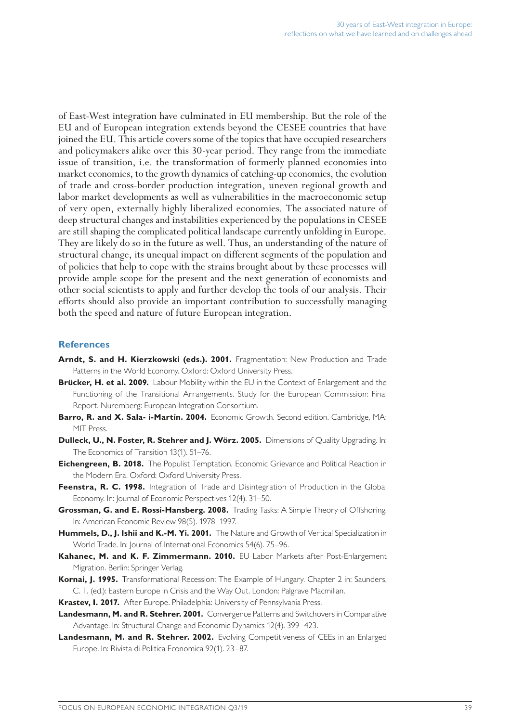of East-West integration have culminated in EU membership. But the role of the EU and of European integration extends beyond the CESEE countries that have joined the EU. This article covers some of the topics that have occupied researchers and policymakers alike over this 30-year period. They range from the immediate issue of transition, i.e. the transformation of formerly planned economies into market economies, to the growth dynamics of catching-up economies, the evolution of trade and cross-border production integration, uneven regional growth and labor market developments as well as vulnerabilities in the macroeconomic setup of very open, externally highly liberalized economies. The associated nature of deep structural changes and instabilities experienced by the populations in CESEE are still shaping the complicated political landscape currently unfolding in Europe. They are likely do so in the future as well. Thus, an understanding of the nature of structural change, its unequal impact on different segments of the population and of policies that help to cope with the strains brought about by these processes will provide ample scope for the present and the next generation of economists and other social scientists to apply and further develop the tools of our analysis. Their efforts should also provide an important contribution to successfully managing both the speed and nature of future European integration.

# **References**

- Arndt, S. and H. Kierzkowski (eds.). 2001. Fragmentation: New Production and Trade Patterns in the World Economy. Oxford: Oxford University Press.
- **Brücker, H. et al. 2009.** Labour Mobility within the EU in the Context of Enlargement and the Functioning of the Transitional Arrangements. Study for the European Commission: Final Report. Nuremberg: European Integration Consortium.
- **Barro, R. and X. Sala- i-Martín. 2004.** Economic Growth. Second edition. Cambridge, MA: MIT Press.
- **Dulleck, U., N. Foster, R. Stehrer and J. Wörz. 2005.** Dimensions of Quality Upgrading. In: The Economics of Transition 13(1). 51–76.
- **Eichengreen, B. 2018.** The Populist Temptation, Economic Grievance and Political Reaction in the Modern Era. Oxford: Oxford University Press.
- **Feenstra, R. C. 1998.** Integration of Trade and Disintegration of Production in the Global Economy. In: Journal of Economic Perspectives 12(4). 31–50.
- **Grossman, G. and E. Rossi-Hansberg. 2008.** Trading Tasks: A Simple Theory of Offshoring. In: American Economic Review 98(5). 1978–1997.
- **Hummels, D., J. Ishii and K.-M. Yi. 2001.** The Nature and Growth of Vertical Specialization in World Trade. In: Journal of International Economics 54(6). 75–96.
- **Kahanec, M. and K. F. Zimmermann. 2010.** EU Labor Markets after Post-Enlargement Migration. Berlin: Springer Verlag.
- **Kornai, J. 1995.** Transformational Recession: The Example of Hungary. Chapter 2 in: Saunders, C. T. (ed.): Eastern Europe in Crisis and the Way Out. London: Palgrave Macmillan.
- **Krastev, I. 2017.** After Europe. Philadelphia: University of Pennsylvania Press.
- **Landesmann, M. and R. Stehrer. 2001.** Convergence Patterns and Switchovers in Comparative Advantage. In: Structural Change and Economic Dynamics 12(4). 399–423.
- **Landesmann, M. and R. Stehrer. 2002.** Evolving Competitiveness of CEEs in an Enlarged Europe. In: Rivista di Politica Economica 92(1). 23–87.